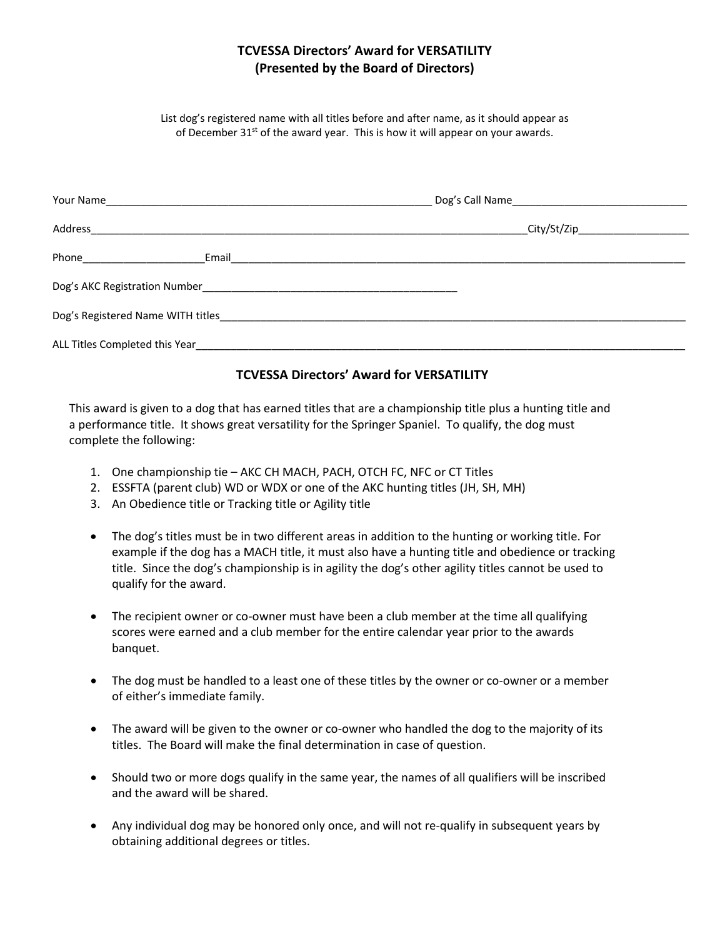## **TCVESSA Directors' Award for VERSATILITY (Presented by the Board of Directors)**

List dog's registered name with all titles before and after name, as it should appear as of December  $31^{st}$  of the award year. This is how it will appear on your awards.

| Address                                                                                                                                                                                                                              | _City/St/Zip________________________ |
|--------------------------------------------------------------------------------------------------------------------------------------------------------------------------------------------------------------------------------------|--------------------------------------|
| Phone ________________                                                                                                                                                                                                               |                                      |
|                                                                                                                                                                                                                                      |                                      |
| Dog's Registered Name WITH titles <b>Server Act and Server Act and Server Act and Server Act and Server Act and Server Act and Server Act and Server Act and Server Act and Server Act and Server Act and Server Act and Server </b> |                                      |
| ALL Titles Completed this Year                                                                                                                                                                                                       |                                      |

## **TCVESSA Directors' Award for VERSATILITY**

This award is given to a dog that has earned titles that are a championship title plus a hunting title and a performance title. It shows great versatility for the Springer Spaniel. To qualify, the dog must complete the following:

- 1. One championship tie AKC CH MACH, PACH, OTCH FC, NFC or CT Titles
- 2. ESSFTA (parent club) WD or WDX or one of the AKC hunting titles (JH, SH, MH)
- 3. An Obedience title or Tracking title or Agility title
- The dog's titles must be in two different areas in addition to the hunting or working title. For example if the dog has a MACH title, it must also have a hunting title and obedience or tracking title. Since the dog's championship is in agility the dog's other agility titles cannot be used to qualify for the award.
- The recipient owner or co-owner must have been a club member at the time all qualifying scores were earned and a club member for the entire calendar year prior to the awards banquet.
- The dog must be handled to a least one of these titles by the owner or co-owner or a member of either's immediate family.
- The award will be given to the owner or co-owner who handled the dog to the majority of its titles. The Board will make the final determination in case of question.
- Should two or more dogs qualify in the same year, the names of all qualifiers will be inscribed and the award will be shared.
- Any individual dog may be honored only once, and will not re-qualify in subsequent years by obtaining additional degrees or titles.